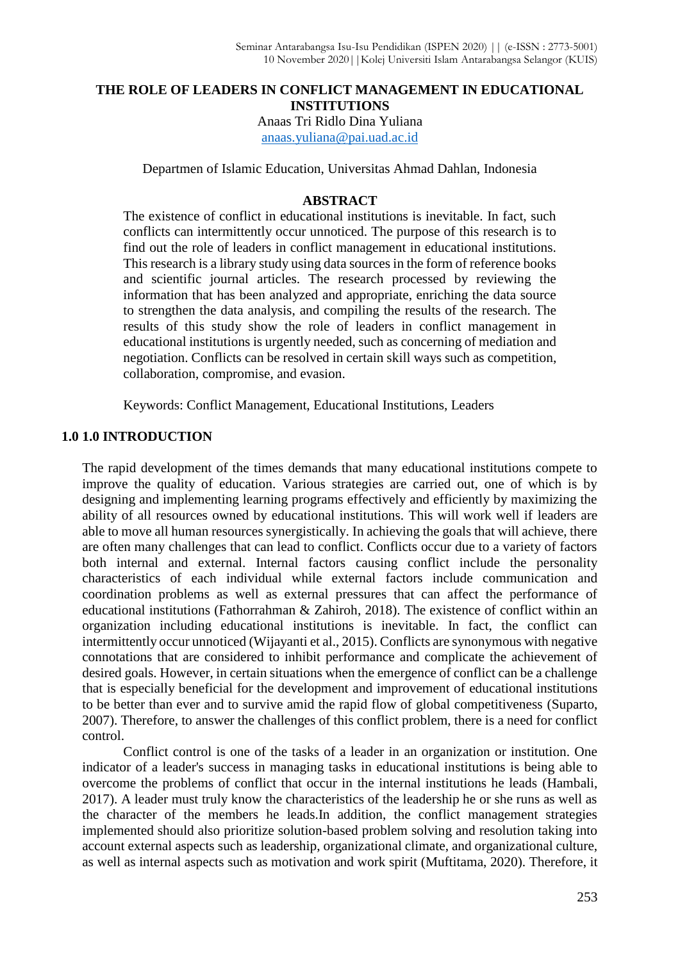#### **THE ROLE OF LEADERS IN CONFLICT MANAGEMENT IN EDUCATIONAL INSTITUTIONS**

Anaas Tri Ridlo Dina Yuliana [anaas.yuliana@pai.uad.ac.id](mailto:anaas.yuliana@pai.uad.ac.id)

Departmen of Islamic Education, Universitas Ahmad Dahlan, Indonesia

#### **ABSTRACT**

The existence of conflict in educational institutions is inevitable. In fact, such conflicts can intermittently occur unnoticed. The purpose of this research is to find out the role of leaders in conflict management in educational institutions. This research is a library study using data sources in the form of reference books and scientific journal articles. The research processed by reviewing the information that has been analyzed and appropriate, enriching the data source to strengthen the data analysis, and compiling the results of the research. The results of this study show the role of leaders in conflict management in educational institutions is urgently needed, such as concerning of mediation and negotiation. Conflicts can be resolved in certain skill ways such as competition, collaboration, compromise, and evasion.

Keywords: Conflict Management, Educational Institutions, Leaders

### **1.0 1.0 INTRODUCTION**

The rapid development of the times demands that many educational institutions compete to improve the quality of education. Various strategies are carried out, one of which is by designing and implementing learning programs effectively and efficiently by maximizing the ability of all resources owned by educational institutions. This will work well if leaders are able to move all human resources synergistically. In achieving the goals that will achieve, there are often many challenges that can lead to conflict. Conflicts occur due to a variety of factors both internal and external. Internal factors causing conflict include the personality characteristics of each individual while external factors include communication and coordination problems as well as external pressures that can affect the performance of educational institutions (Fathorrahman & Zahiroh, 2018). The existence of conflict within an organization including educational institutions is inevitable. In fact, the conflict can intermittently occur unnoticed (Wijayanti et al., 2015). Conflicts are synonymous with negative connotations that are considered to inhibit performance and complicate the achievement of desired goals. However, in certain situations when the emergence of conflict can be a challenge that is especially beneficial for the development and improvement of educational institutions to be better than ever and to survive amid the rapid flow of global competitiveness (Suparto, 2007). Therefore, to answer the challenges of this conflict problem, there is a need for conflict control.

Conflict control is one of the tasks of a leader in an organization or institution. One indicator of a leader's success in managing tasks in educational institutions is being able to overcome the problems of conflict that occur in the internal institutions he leads (Hambali, 2017). A leader must truly know the characteristics of the leadership he or she runs as well as the character of the members he leads.In addition, the conflict management strategies implemented should also prioritize solution-based problem solving and resolution taking into account external aspects such as leadership, organizational climate, and organizational culture, as well as internal aspects such as motivation and work spirit (Muftitama, 2020). Therefore, it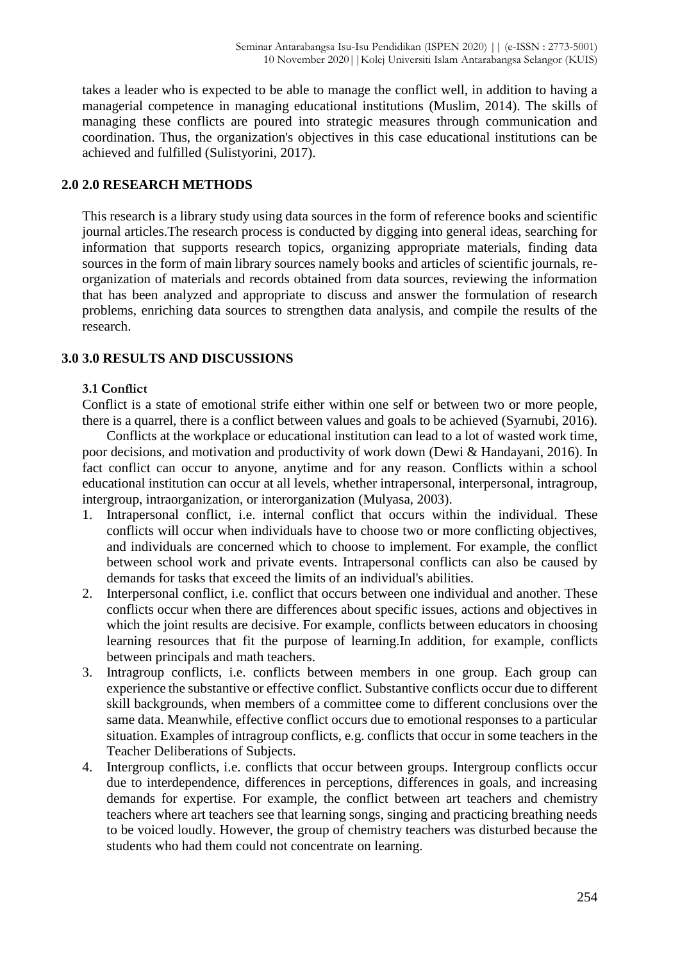takes a leader who is expected to be able to manage the conflict well, in addition to having a managerial competence in managing educational institutions (Muslim, 2014). The skills of managing these conflicts are poured into strategic measures through communication and coordination. Thus, the organization's objectives in this case educational institutions can be achieved and fulfilled (Sulistyorini, 2017).

### **2.0 2.0 RESEARCH METHODS**

This research is a library study using data sources in the form of reference books and scientific journal articles.The research process is conducted by digging into general ideas, searching for information that supports research topics, organizing appropriate materials, finding data sources in the form of main library sources namely books and articles of scientific journals, reorganization of materials and records obtained from data sources, reviewing the information that has been analyzed and appropriate to discuss and answer the formulation of research problems, enriching data sources to strengthen data analysis, and compile the results of the research.

# **3.0 3.0 RESULTS AND DISCUSSIONS**

## **3.1 Conflict**

Conflict is a state of emotional strife either within one self or between two or more people, there is a quarrel, there is a conflict between values and goals to be achieved (Syarnubi, 2016).

Conflicts at the workplace or educational institution can lead to a lot of wasted work time, poor decisions, and motivation and productivity of work down (Dewi & Handayani, 2016). In fact conflict can occur to anyone, anytime and for any reason. Conflicts within a school educational institution can occur at all levels, whether intrapersonal, interpersonal, intragroup, intergroup, intraorganization, or interorganization (Mulyasa, 2003).

- 1. Intrapersonal conflict, i.e. internal conflict that occurs within the individual. These conflicts will occur when individuals have to choose two or more conflicting objectives, and individuals are concerned which to choose to implement. For example, the conflict between school work and private events. Intrapersonal conflicts can also be caused by demands for tasks that exceed the limits of an individual's abilities.
- 2. Interpersonal conflict, i.e. conflict that occurs between one individual and another. These conflicts occur when there are differences about specific issues, actions and objectives in which the joint results are decisive. For example, conflicts between educators in choosing learning resources that fit the purpose of learning.In addition, for example, conflicts between principals and math teachers.
- 3. Intragroup conflicts, i.e. conflicts between members in one group. Each group can experience the substantive or effective conflict. Substantive conflicts occur due to different skill backgrounds, when members of a committee come to different conclusions over the same data. Meanwhile, effective conflict occurs due to emotional responses to a particular situation. Examples of intragroup conflicts, e.g. conflicts that occur in some teachers in the Teacher Deliberations of Subjects.
- 4. Intergroup conflicts, i.e. conflicts that occur between groups. Intergroup conflicts occur due to interdependence, differences in perceptions, differences in goals, and increasing demands for expertise. For example, the conflict between art teachers and chemistry teachers where art teachers see that learning songs, singing and practicing breathing needs to be voiced loudly. However, the group of chemistry teachers was disturbed because the students who had them could not concentrate on learning.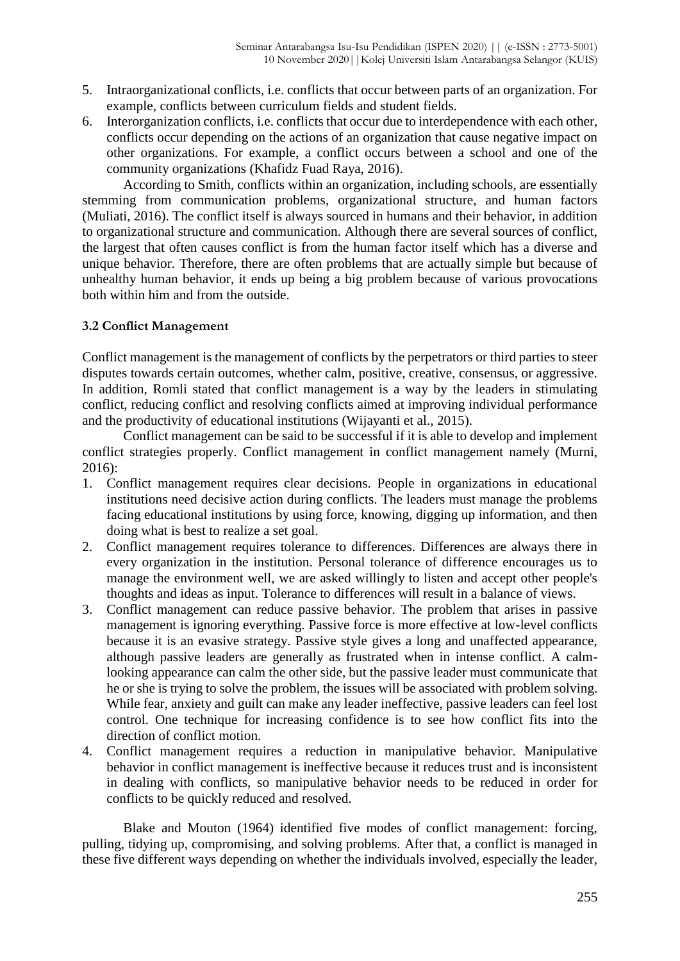- 5. Intraorganizational conflicts, i.e. conflicts that occur between parts of an organization. For example, conflicts between curriculum fields and student fields.
- 6. Interorganization conflicts, i.e. conflicts that occur due to interdependence with each other, conflicts occur depending on the actions of an organization that cause negative impact on other organizations. For example, a conflict occurs between a school and one of the community organizations (Khafidz Fuad Raya, 2016).

According to Smith, conflicts within an organization, including schools, are essentially stemming from communication problems, organizational structure, and human factors (Muliati, 2016). The conflict itself is always sourced in humans and their behavior, in addition to organizational structure and communication. Although there are several sources of conflict, the largest that often causes conflict is from the human factor itself which has a diverse and unique behavior. Therefore, there are often problems that are actually simple but because of unhealthy human behavior, it ends up being a big problem because of various provocations both within him and from the outside.

## **3.2 Conflict Management**

Conflict management is the management of conflicts by the perpetrators or third parties to steer disputes towards certain outcomes, whether calm, positive, creative, consensus, or aggressive. In addition, Romli stated that conflict management is a way by the leaders in stimulating conflict, reducing conflict and resolving conflicts aimed at improving individual performance and the productivity of educational institutions (Wijayanti et al., 2015).

Conflict management can be said to be successful if it is able to develop and implement conflict strategies properly. Conflict management in conflict management namely (Murni, 2016):

- 1. Conflict management requires clear decisions. People in organizations in educational institutions need decisive action during conflicts. The leaders must manage the problems facing educational institutions by using force, knowing, digging up information, and then doing what is best to realize a set goal.
- 2. Conflict management requires tolerance to differences. Differences are always there in every organization in the institution. Personal tolerance of difference encourages us to manage the environment well, we are asked willingly to listen and accept other people's thoughts and ideas as input. Tolerance to differences will result in a balance of views.
- 3. Conflict management can reduce passive behavior. The problem that arises in passive management is ignoring everything. Passive force is more effective at low-level conflicts because it is an evasive strategy. Passive style gives a long and unaffected appearance, although passive leaders are generally as frustrated when in intense conflict. A calmlooking appearance can calm the other side, but the passive leader must communicate that he or she is trying to solve the problem, the issues will be associated with problem solving. While fear, anxiety and guilt can make any leader ineffective, passive leaders can feel lost control. One technique for increasing confidence is to see how conflict fits into the direction of conflict motion.
- 4. Conflict management requires a reduction in manipulative behavior. Manipulative behavior in conflict management is ineffective because it reduces trust and is inconsistent in dealing with conflicts, so manipulative behavior needs to be reduced in order for conflicts to be quickly reduced and resolved.

Blake and Mouton (1964) identified five modes of conflict management: forcing, pulling, tidying up, compromising, and solving problems. After that, a conflict is managed in these five different ways depending on whether the individuals involved, especially the leader,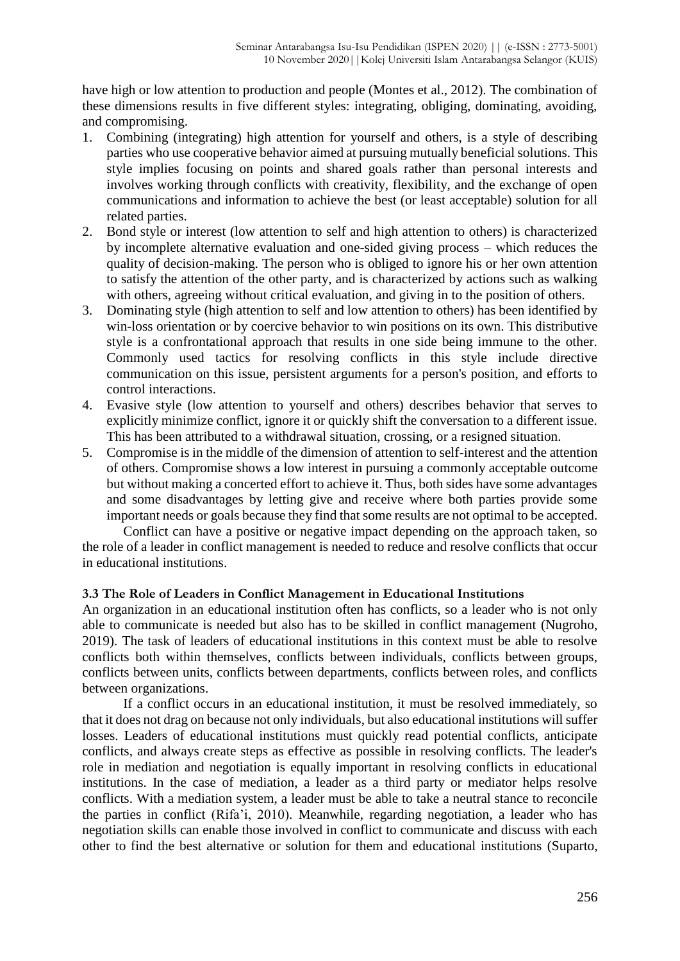have high or low attention to production and people (Montes et al., 2012). The combination of these dimensions results in five different styles: integrating, obliging, dominating, avoiding, and compromising.

- 1. Combining (integrating) high attention for yourself and others, is a style of describing parties who use cooperative behavior aimed at pursuing mutually beneficial solutions. This style implies focusing on points and shared goals rather than personal interests and involves working through conflicts with creativity, flexibility, and the exchange of open communications and information to achieve the best (or least acceptable) solution for all related parties.
- 2. Bond style or interest (low attention to self and high attention to others) is characterized by incomplete alternative evaluation and one-sided giving process – which reduces the quality of decision-making. The person who is obliged to ignore his or her own attention to satisfy the attention of the other party, and is characterized by actions such as walking with others, agreeing without critical evaluation, and giving in to the position of others.
- 3. Dominating style (high attention to self and low attention to others) has been identified by win-loss orientation or by coercive behavior to win positions on its own. This distributive style is a confrontational approach that results in one side being immune to the other. Commonly used tactics for resolving conflicts in this style include directive communication on this issue, persistent arguments for a person's position, and efforts to control interactions.
- 4. Evasive style (low attention to yourself and others) describes behavior that serves to explicitly minimize conflict, ignore it or quickly shift the conversation to a different issue. This has been attributed to a withdrawal situation, crossing, or a resigned situation.
- 5. Compromise is in the middle of the dimension of attention to self-interest and the attention of others. Compromise shows a low interest in pursuing a commonly acceptable outcome but without making a concerted effort to achieve it. Thus, both sides have some advantages and some disadvantages by letting give and receive where both parties provide some important needs or goals because they find that some results are not optimal to be accepted.

Conflict can have a positive or negative impact depending on the approach taken, so the role of a leader in conflict management is needed to reduce and resolve conflicts that occur in educational institutions.

# **3.3 The Role of Leaders in Conflict Management in Educational Institutions**

An organization in an educational institution often has conflicts, so a leader who is not only able to communicate is needed but also has to be skilled in conflict management (Nugroho, 2019). The task of leaders of educational institutions in this context must be able to resolve conflicts both within themselves, conflicts between individuals, conflicts between groups, conflicts between units, conflicts between departments, conflicts between roles, and conflicts between organizations.

If a conflict occurs in an educational institution, it must be resolved immediately, so that it does not drag on because not only individuals, but also educational institutions will suffer losses. Leaders of educational institutions must quickly read potential conflicts, anticipate conflicts, and always create steps as effective as possible in resolving conflicts. The leader's role in mediation and negotiation is equally important in resolving conflicts in educational institutions. In the case of mediation, a leader as a third party or mediator helps resolve conflicts. With a mediation system, a leader must be able to take a neutral stance to reconcile the parties in conflict (Rifa'i, 2010). Meanwhile, regarding negotiation, a leader who has negotiation skills can enable those involved in conflict to communicate and discuss with each other to find the best alternative or solution for them and educational institutions (Suparto,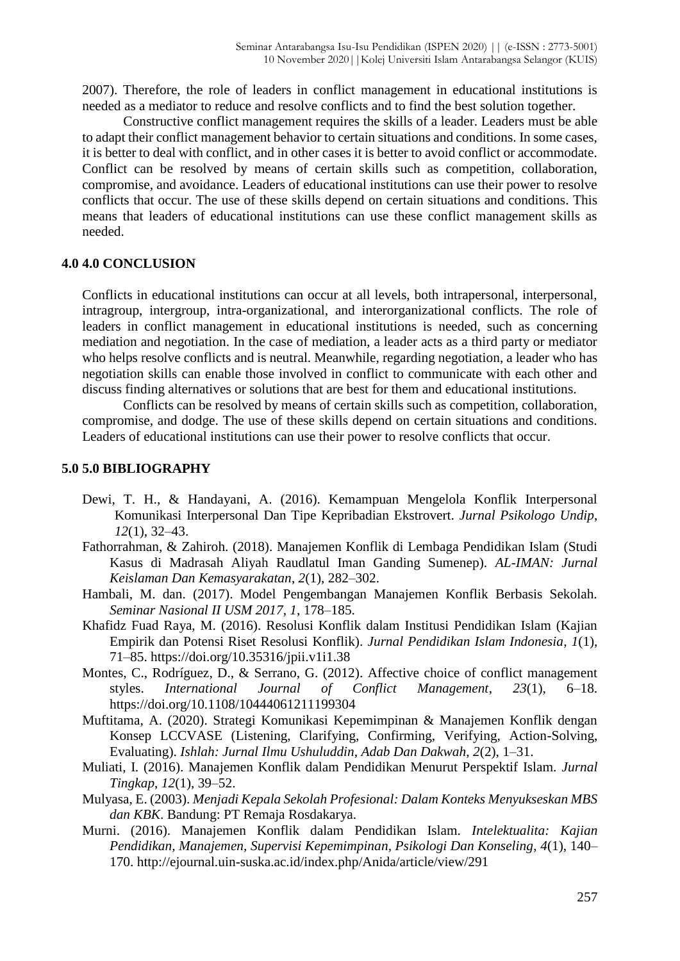2007). Therefore, the role of leaders in conflict management in educational institutions is needed as a mediator to reduce and resolve conflicts and to find the best solution together.

Constructive conflict management requires the skills of a leader. Leaders must be able to adapt their conflict management behavior to certain situations and conditions. In some cases, it is better to deal with conflict, and in other cases it is better to avoid conflict or accommodate. Conflict can be resolved by means of certain skills such as competition, collaboration, compromise, and avoidance. Leaders of educational institutions can use their power to resolve conflicts that occur. The use of these skills depend on certain situations and conditions. This means that leaders of educational institutions can use these conflict management skills as needed.

#### **4.0 4.0 CONCLUSION**

Conflicts in educational institutions can occur at all levels, both intrapersonal, interpersonal, intragroup, intergroup, intra-organizational, and interorganizational conflicts. The role of leaders in conflict management in educational institutions is needed, such as concerning mediation and negotiation. In the case of mediation, a leader acts as a third party or mediator who helps resolve conflicts and is neutral. Meanwhile, regarding negotiation, a leader who has negotiation skills can enable those involved in conflict to communicate with each other and discuss finding alternatives or solutions that are best for them and educational institutions.

Conflicts can be resolved by means of certain skills such as competition, collaboration, compromise, and dodge. The use of these skills depend on certain situations and conditions. Leaders of educational institutions can use their power to resolve conflicts that occur.

#### **5.0 5.0 BIBLIOGRAPHY**

- Dewi, T. H., & Handayani, A. (2016). Kemampuan Mengelola Konflik Interpersonal Komunikasi Interpersonal Dan Tipe Kepribadian Ekstrovert. *Jurnal Psikologo Undip*, *12*(1), 32–43.
- Fathorrahman, & Zahiroh. (2018). Manajemen Konflik di Lembaga Pendidikan Islam (Studi Kasus di Madrasah Aliyah Raudlatul Iman Ganding Sumenep). *AL-IMAN: Jurnal Keislaman Dan Kemasyarakatan*, *2*(1), 282–302.
- Hambali, M. dan. (2017). Model Pengembangan Manajemen Konflik Berbasis Sekolah. *Seminar Nasional II USM 2017*, *1*, 178–185.
- Khafidz Fuad Raya, M. (2016). Resolusi Konflik dalam Institusi Pendidikan Islam (Kajian Empirik dan Potensi Riset Resolusi Konflik). *Jurnal Pendidikan Islam Indonesia*, *1*(1), 71–85. https://doi.org/10.35316/jpii.v1i1.38
- Montes, C., Rodríguez, D., & Serrano, G. (2012). Affective choice of conflict management styles. *International Journal of Conflict Management*, *23*(1), 6–18. https://doi.org/10.1108/10444061211199304
- Muftitama, A. (2020). Strategi Komunikasi Kepemimpinan & Manajemen Konflik dengan Konsep LCCVASE (Listening, Clarifying, Confirming, Verifying, Action-Solving, Evaluating). *Ishlah: Jurnal Ilmu Ushuluddin, Adab Dan Dakwah*, *2*(2), 1–31.
- Muliati, I. (2016). Manajemen Konflik dalam Pendidikan Menurut Perspektif Islam. *Jurnal Tingkap*, *12*(1), 39–52.
- Mulyasa, E. (2003). *Menjadi Kepala Sekolah Profesional: Dalam Konteks Menyukseskan MBS dan KBK*. Bandung: PT Remaja Rosdakarya.
- Murni. (2016). Manajemen Konflik dalam Pendidikan Islam. *Intelektualita: Kajian Pendidikan, Manajemen, Supervisi Kepemimpinan, Psikologi Dan Konseling*, *4*(1), 140– 170. http://ejournal.uin-suska.ac.id/index.php/Anida/article/view/291